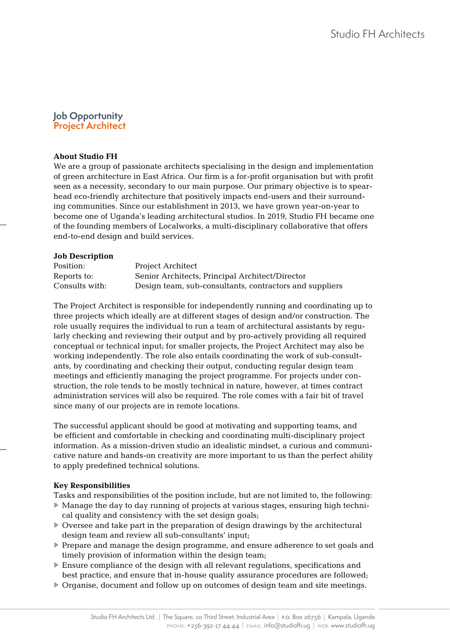# **Job Opportunity Project Architect**

# **About Studio FH**

We are a group of passionate architects specialising in the design and implementation of green architecture in East Africa. Our firm is a for-profit organisation but with profit seen as a necessity, secondary to our main purpose. Our primary objective is to spearhead eco-friendly architecture that positively impacts end-users and their surrounding communities. Since our establishment in 2013, we have grown year-on-year to become one of Uganda's leading architectural studios. In 2019, Studio FH became one of the founding members of Localworks, a multi-disciplinary collaborative that offers end-to-end design and build services.

### **Job Description**

| Position:      | Project Architect                                       |
|----------------|---------------------------------------------------------|
| Reports to:    | Senior Architects, Principal Architect/Director         |
| Consults with: | Design team, sub-consultants, contractors and suppliers |

The Project Architect is responsible for independently running and coordinating up to three projects which ideally are at different stages of design and/or construction. The role usually requires the individual to run a team of architectural assistants by regularly checking and reviewing their output and by pro-actively providing all required conceptual or technical input; for smaller projects, the Project Architect may also be working independently. The role also entails coordinating the work of sub-consultants, by coordinating and checking their output, conducting regular design team meetings and efficiently managing the project programme. For projects under construction, the role tends to be mostly technical in nature, however, at times contract administration services will also be required. The role comes with a fair bit of travel since many of our projects are in remote locations.

The successful applicant should be good at motivating and supporting teams, and be efficient and comfortable in checking and coordinating multi-disciplinary project information. As a mission-driven studio an idealistic mindset, a curious and communicative nature and hands-on creativity are more important to us than the perfect ability to apply predefined technical solutions.

#### **Key Responsibilities**

Tasks and responsibilities of the position include, but are not limited to, the following:

- ► Manage the day to day running of projects at various stages, ensuring high technical quality and consistency with the set design goals;
- ► Oversee and take part in the preparation of design drawings by the architectural design team and review all sub-consultants' input;
- ▶ Prepare and manage the design programme, and ensure adherence to set goals and timely provision of information within the design team;
- ► Ensure compliance of the design with all relevant regulations, specifications and best practice, and ensure that in-house quality assurance procedures are followed;
- ► Organise, document and follow up on outcomes of design team and site meetings.